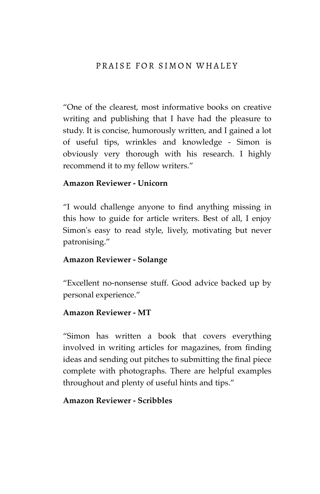## PRAISE FOR SIMON WHALEY

"One of the clearest, most informative books on creative writing and publishing that I have had the pleasure to study. It is concise, humorously written, and I gained a lot of useful tips, wrinkles and knowledge - Simon is obviously very thorough with his research. I highly recommend it to my fellow writers."

## **Amazon Reviewer - Unicorn**

"I would challenge anyone to find anything missing in this how to guide for article writers. Best of all, I enjoy Simon's easy to read style, lively, motivating but never patronising."

#### **Amazon Reviewer - Solange**

"Excellent no-nonsense stuff. Good advice backed up by personal experience."

#### **Amazon Reviewer - MT**

"Simon has written a book that covers everything involved in writing articles for magazines, from finding ideas and sending out pitches to submitting the final piece complete with photographs. There are helpful examples throughout and plenty of useful hints and tips."

#### **Amazon Reviewer - Scribbles**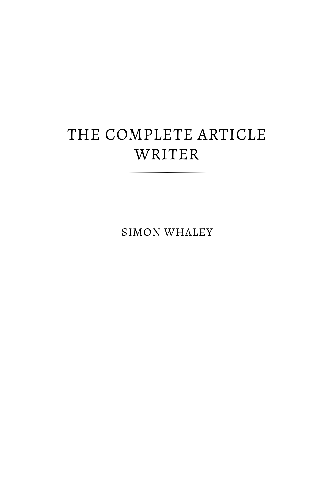# THE COMPLETE ARTICLE WRITER

SIMON WHALEY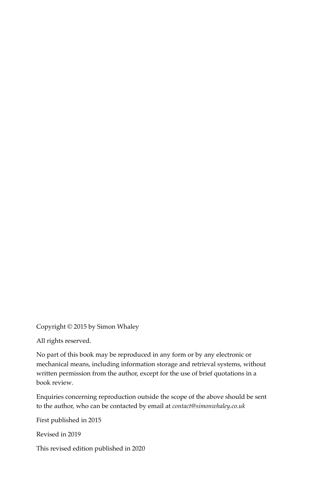Copyright © 2015 by Simon Whaley

All rights reserved.

No part of this book may be reproduced in any form or by any electronic or mechanical means, including information storage and retrieval systems, without written permission from the author, except for the use of brief quotations in a book review.

Enquiries concerning reproduction outside the scope of the above should be sent to the author, who can be contacted by email at *contact@simonwhaley.co.uk*

First published in 2015

Revised in 2019

This revised edition published in 2020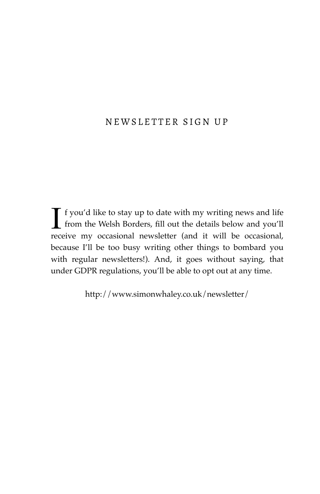# NEWSLETTER SIGN UP

 $\int$  f you'd like to stay up to date with my writing news and life<br>from the Welsh Borders, fill out the details below and you'll from the Welsh Borders, fill out the details below and you'll receive my occasional newsletter (and it will be occasional, because I'll be too busy writing other things to bombard you with regular newsletters!). And, it goes without saying, that under GDPR regulations, you'll be able to opt out at any time.

http://www.simonwhaley.co.uk/newsletter/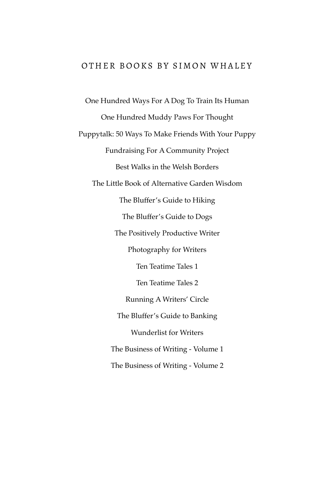## OTHER BOOKS BY SIMON WHALEY

One Hundred Ways For A Dog To Train Its Human One Hundred Muddy Paws For Thought Puppytalk: 50 Ways To Make Friends With Your Puppy Fundraising For A Community Project Best Walks in the Welsh Borders The Little Book of Alternative Garden Wisdom The Bluffer's Guide to Hiking The Bluffer's Guide to Dogs The Positively Productive Writer Photography for Writers Ten Teatime Tales 1 Ten Teatime Tales 2 Running A Writers' Circle The Bluffer's Guide to Banking Wunderlist for Writers The Business of Writing - Volume 1 The Business of Writing - Volume 2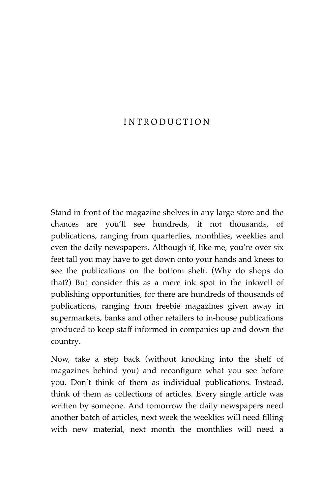# INTRODUCTION

Stand in front of the magazine shelves in any large store and the chances are you'll see hundreds, if not thousands, of publications, ranging from quarterlies, monthlies, weeklies and even the daily newspapers. Although if, like me, you're over six feet tall you may have to get down onto your hands and knees to see the publications on the bottom shelf. (Why do shops do that?) But consider this as a mere ink spot in the inkwell of publishing opportunities, for there are hundreds of thousands of publications, ranging from freebie magazines given away in supermarkets, banks and other retailers to in-house publications produced to keep staff informed in companies up and down the country.

Now, take a step back (without knocking into the shelf of magazines behind you) and reconfigure what you see before you. Don't think of them as individual publications. Instead, think of them as collections of articles. Every single article was written by someone. And tomorrow the daily newspapers need another batch of articles, next week the weeklies will need filling with new material, next month the monthlies will need a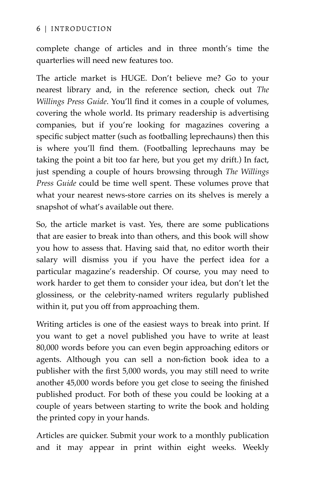complete change of articles and in three month's time the quarterlies will need new features too.

The article market is HUGE. Don't believe me? Go to your nearest library and, in the reference section, check out *The Willings Press Guide*. You'll find it comes in a couple of volumes, covering the whole world. Its primary readership is advertising companies, but if you're looking for magazines covering a specific subject matter (such as footballing leprechauns) then this is where you'll find them. (Footballing leprechauns may be taking the point a bit too far here, but you get my drift.) In fact, just spending a couple of hours browsing through *The Willings Press Guide* could be time well spent. These volumes prove that what your nearest news-store carries on its shelves is merely a snapshot of what's available out there.

So, the article market is vast. Yes, there are some publications that are easier to break into than others, and this book will show you how to assess that. Having said that, no editor worth their salary will dismiss you if you have the perfect idea for a particular magazine's readership. Of course, you may need to work harder to get them to consider your idea, but don't let the glossiness, or the celebrity-named writers regularly published within it, put you off from approaching them.

Writing articles is one of the easiest ways to break into print. If you want to get a novel published you have to write at least 80,000 words before you can even begin approaching editors or agents. Although you can sell a non-fiction book idea to a publisher with the first 5,000 words, you may still need to write another 45,000 words before you get close to seeing the finished published product. For both of these you could be looking at a couple of years between starting to write the book and holding the printed copy in your hands.

Articles are quicker. Submit your work to a monthly publication and it may appear in print within eight weeks. Weekly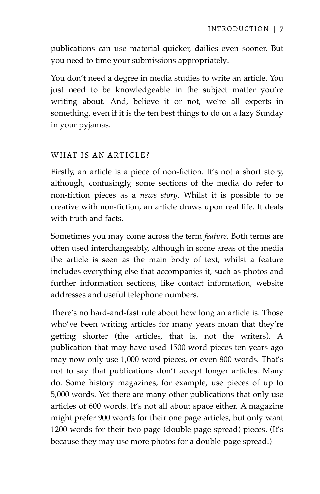publications can use material quicker, dailies even sooner. But you need to time your submissions appropriately.

You don't need a degree in media studies to write an article. You just need to be knowledgeable in the subject matter you're writing about. And, believe it or not, we're all experts in something, even if it is the ten best things to do on a lazy Sunday in your pyjamas.

## WHAT IS AN ARTICLE?

Firstly, an article is a piece of non-fiction. It's not a short story, although, confusingly, some sections of the media do refer to non-fiction pieces as a *news story*. Whilst it is possible to be creative with non-fiction, an article draws upon real life. It deals with truth and facts.

Sometimes you may come across the term *feature*. Both terms are often used interchangeably, although in some areas of the media the article is seen as the main body of text, whilst a feature includes everything else that accompanies it, such as photos and further information sections, like contact information, website addresses and useful telephone numbers.

There's no hard-and-fast rule about how long an article is. Those who've been writing articles for many years moan that they're getting shorter (the articles, that is, not the writers). A publication that may have used 1500-word pieces ten years ago may now only use 1,000-word pieces, or even 800-words. That's not to say that publications don't accept longer articles. Many do. Some history magazines, for example, use pieces of up to 5,000 words. Yet there are many other publications that only use articles of 600 words. It's not all about space either. A magazine might prefer 900 words for their one page articles, but only want 1200 words for their two-page (double-page spread) pieces. (It's because they may use more photos for a double-page spread.)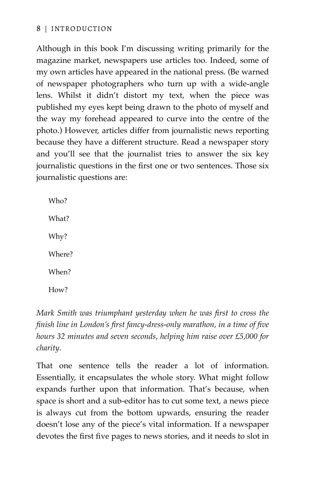Although in this book I'm discussing writing primarily for the magazine market, newspapers use articles too. Indeed, some of my own articles have appeared in the national press. (Be warned of newspaper photographers who turn up with a wide-angle lens. Whilst it didn't distort my text, when the piece was published my eyes kept being drawn to the photo of myself and the way my forehead appeared to curve into the centre of the photo.) However, articles differ from journalistic news reporting because they have a different structure. Read a newspaper story and you'll see that the journalist tries to answer the six key journalistic questions in the first one or two sentences. Those six journalistic questions are:

Who? What? Why? Where? When? How?

*Mark Smith was triumphant yesterday when he was first to cross the finish line in London's first fancy-dress-only marathon, in a time of five hours 32 minutes and seven seconds, helping him raise over £5,000 for charity*.

That one sentence tells the reader a lot of information. Essentially, it encapsulates the whole story. What might follow expands further upon that information. That's because, when space is short and a sub-editor has to cut some text, a news piece is always cut from the bottom upwards, ensuring the reader doesn't lose any of the piece's vital information. If a newspaper devotes the first five pages to news stories, and it needs to slot in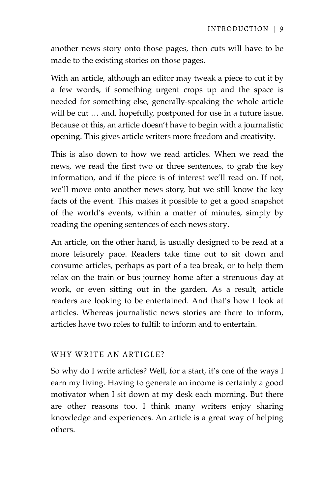another news story onto those pages, then cuts will have to be made to the existing stories on those pages.

With an article, although an editor may tweak a piece to cut it by a few words, if something urgent crops up and the space is needed for something else, generally-speaking the whole article will be cut … and, hopefully, postponed for use in a future issue. Because of this, an article doesn't have to begin with a journalistic opening. This gives article writers more freedom and creativity.

This is also down to how we read articles. When we read the news, we read the first two or three sentences, to grab the key information, and if the piece is of interest we'll read on. If not, we'll move onto another news story, but we still know the key facts of the event. This makes it possible to get a good snapshot of the world's events, within a matter of minutes, simply by reading the opening sentences of each news story.

An article, on the other hand, is usually designed to be read at a more leisurely pace. Readers take time out to sit down and consume articles, perhaps as part of a tea break, or to help them relax on the train or bus journey home after a strenuous day at work, or even sitting out in the garden. As a result, article readers are looking to be entertained. And that's how I look at articles. Whereas journalistic news stories are there to inform, articles have two roles to fulfil: to inform and to entertain.

## WHY WRITE AN ARTICLE?

So why do I write articles? Well, for a start, it's one of the ways I earn my living. Having to generate an income is certainly a good motivator when I sit down at my desk each morning. But there are other reasons too. I think many writers enjoy sharing knowledge and experiences. An article is a great way of helping others.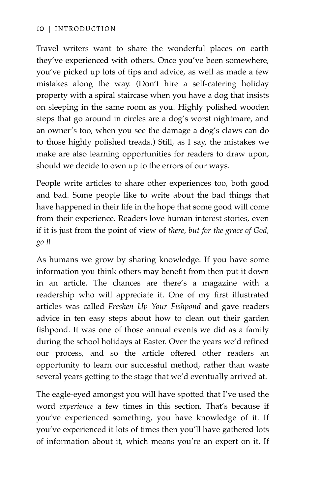## 10 | INTRODUCTION

Travel writers want to share the wonderful places on earth they've experienced with others. Once you've been somewhere, you've picked up lots of tips and advice, as well as made a few mistakes along the way. (Don't hire a self-catering holiday property with a spiral staircase when you have a dog that insists on sleeping in the same room as you. Highly polished wooden steps that go around in circles are a dog's worst nightmare, and an owner's too, when you see the damage a dog's claws can do to those highly polished treads.) Still, as I say, the mistakes we make are also learning opportunities for readers to draw upon, should we decide to own up to the errors of our ways.

People write articles to share other experiences too, both good and bad. Some people like to write about the bad things that have happened in their life in the hope that some good will come from their experience. Readers love human interest stories, even if it is just from the point of view of *there, but for the grace of God, go I*!

As humans we grow by sharing knowledge. If you have some information you think others may benefit from then put it down in an article. The chances are there's a magazine with a readership who will appreciate it. One of my first illustrated articles was called *Freshen Up Your Fishpond* and gave readers advice in ten easy steps about how to clean out their garden fishpond. It was one of those annual events we did as a family during the school holidays at Easter. Over the years we'd refined our process, and so the article offered other readers an opportunity to learn our successful method, rather than waste several years getting to the stage that we'd eventually arrived at.

The eagle-eyed amongst you will have spotted that I've used the word *experience* a few times in this section. That's because if you've experienced something, you have knowledge of it. If you've experienced it lots of times then you'll have gathered lots of information about it, which means you're an expert on it. If